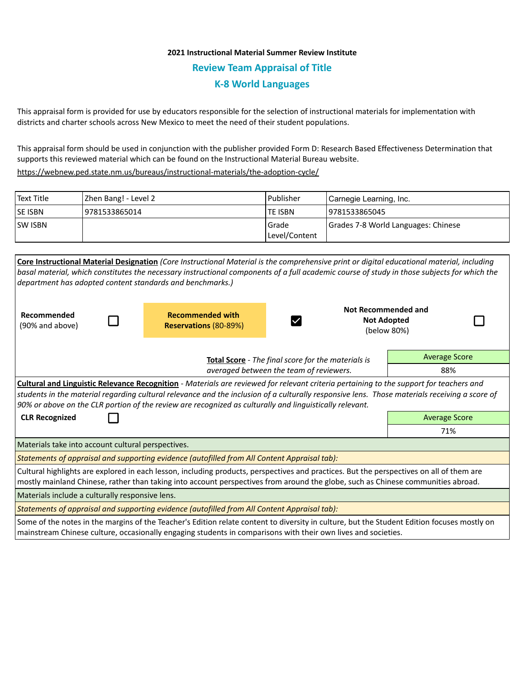## **2021 Instructional Material Summer Review Institute Review Team Appraisal of Title K-8 World Languages**

This appraisal form is provided for use by educators responsible for the selection of instructional materials for implementation with districts and charter schools across New Mexico to meet the need of their student populations.

This appraisal form should be used in conjunction with the publisher provided Form D: Research Based Effectiveness Determination that supports this reviewed material which can be found on the Instructional Material Bureau website.

<https://webnew.ped.state.nm.us/bureaus/instructional-materials/the-adoption-cycle/>

| <b>Text Title</b> | Zhen Bang! - Level 2 | Publisher              | Carnegie Learning, Inc.             |
|-------------------|----------------------|------------------------|-------------------------------------|
| <b>SE ISBN</b>    | 9781533865014        | <b>TE ISBN</b>         | 9781533865045                       |
| <b>SW ISBN</b>    |                      | Grade<br>Level/Content | Grades 7-8 World Languages: Chinese |

|                                                                                                                                                                                                                                                                                                                                                                                                     |  | Core Instructional Material Designation (Core Instructional Material is the comprehensive print or digital educational material, including<br>basal material, which constitutes the necessary instructional components of a full academic course of study in those subjects for which the |                                                                 |                      |  |  |  |
|-----------------------------------------------------------------------------------------------------------------------------------------------------------------------------------------------------------------------------------------------------------------------------------------------------------------------------------------------------------------------------------------------------|--|-------------------------------------------------------------------------------------------------------------------------------------------------------------------------------------------------------------------------------------------------------------------------------------------|-----------------------------------------------------------------|----------------------|--|--|--|
|                                                                                                                                                                                                                                                                                                                                                                                                     |  | department has adopted content standards and benchmarks.)                                                                                                                                                                                                                                 |                                                                 |                      |  |  |  |
| Recommended<br>(90% and above)                                                                                                                                                                                                                                                                                                                                                                      |  | <b>Recommended with</b><br><b>Reservations (80-89%)</b>                                                                                                                                                                                                                                   | <b>Not Recommended and</b><br><b>Not Adopted</b><br>(below 80%) |                      |  |  |  |
|                                                                                                                                                                                                                                                                                                                                                                                                     |  | Total Score - The final score for the materials is<br>averaged between the team of reviewers.                                                                                                                                                                                             |                                                                 | <b>Average Score</b> |  |  |  |
|                                                                                                                                                                                                                                                                                                                                                                                                     |  |                                                                                                                                                                                                                                                                                           |                                                                 | 88%                  |  |  |  |
| Cultural and Linguistic Relevance Recognition - Materials are reviewed for relevant criteria pertaining to the support for teachers and<br>students in the material regarding cultural relevance and the inclusion of a culturally responsive lens. Those materials receiving a score of<br>90% or above on the CLR portion of the review are recognized as culturally and linguistically relevant. |  |                                                                                                                                                                                                                                                                                           |                                                                 |                      |  |  |  |
| <b>CLR Recognized</b>                                                                                                                                                                                                                                                                                                                                                                               |  |                                                                                                                                                                                                                                                                                           |                                                                 | <b>Average Score</b> |  |  |  |
|                                                                                                                                                                                                                                                                                                                                                                                                     |  |                                                                                                                                                                                                                                                                                           |                                                                 | 71%                  |  |  |  |
| Materials take into account cultural perspectives.                                                                                                                                                                                                                                                                                                                                                  |  |                                                                                                                                                                                                                                                                                           |                                                                 |                      |  |  |  |
| Statements of appraisal and supporting evidence (autofilled from All Content Appraisal tab):                                                                                                                                                                                                                                                                                                        |  |                                                                                                                                                                                                                                                                                           |                                                                 |                      |  |  |  |
| Cultural highlights are explored in each lesson, including products, perspectives and practices. But the perspectives on all of them are<br>mostly mainland Chinese, rather than taking into account perspectives from around the globe, such as Chinese communities abroad.                                                                                                                        |  |                                                                                                                                                                                                                                                                                           |                                                                 |                      |  |  |  |
| Materials include a culturally responsive lens.                                                                                                                                                                                                                                                                                                                                                     |  |                                                                                                                                                                                                                                                                                           |                                                                 |                      |  |  |  |
| Statements of appraisal and supporting evidence (autofilled from All Content Appraisal tab):                                                                                                                                                                                                                                                                                                        |  |                                                                                                                                                                                                                                                                                           |                                                                 |                      |  |  |  |
| Some of the notes in the margins of the Teacher's Edition relate content to diversity in culture, but the Student Edition focuses mostly on                                                                                                                                                                                                                                                         |  |                                                                                                                                                                                                                                                                                           |                                                                 |                      |  |  |  |

mainstream Chinese culture, occasionally engaging students in comparisons with their own lives and societies.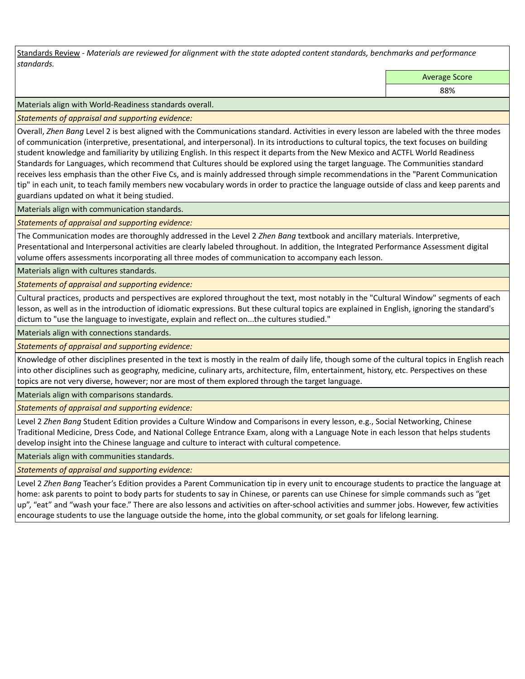Standards Review *- Materials are reviewed for alignment with the state adopted content standards, benchmarks and performance standards.*

Average Score

88%

Materials align with World-Readiness standards overall.

*Statements of appraisal and supporting evidence:* 

Overall, *Zhen Bang* Level 2 is best aligned with the Communications standard. Activities in every lesson are labeled with the three modes of communication (interpretive, presentational, and interpersonal). In its introductions to cultural topics, the text focuses on building student knowledge and familiarity by utilizing English. In this respect it departs from the New Mexico and ACTFL World Readiness Standards for Languages, which recommend that Cultures should be explored using the target language. The Communities standard receives less emphasis than the other Five Cs, and is mainly addressed through simple recommendations in the "Parent Communication tip" in each unit, to teach family members new vocabulary words in order to practice the language outside of class and keep parents and guardians updated on what it being studied.

Materials align with communication standards.

*Statements of appraisal and supporting evidence:* 

The Communication modes are thoroughly addressed in the Level 2 *Zhen Bang* textbook and ancillary materials. Interpretive, Presentational and Interpersonal activities are clearly labeled throughout. In addition, the Integrated Performance Assessment digital volume offers assessments incorporating all three modes of communication to accompany each lesson.

Materials align with cultures standards.

*Statements of appraisal and supporting evidence:* 

Cultural practices, products and perspectives are explored throughout the text, most notably in the "Cultural Window" segments of each lesson, as well as in the introduction of idiomatic expressions. But these cultural topics are explained in English, ignoring the standard's dictum to "use the language to investigate, explain and reflect on...the cultures studied."

Materials align with connections standards.

*Statements of appraisal and supporting evidence:* 

Knowledge of other disciplines presented in the text is mostly in the realm of daily life, though some of the cultural topics in English reach into other disciplines such as geography, medicine, culinary arts, architecture, film, entertainment, history, etc. Perspectives on these topics are not very diverse, however; nor are most of them explored through the target language.

Materials align with comparisons standards.

*Statements of appraisal and supporting evidence:* 

Level 2 *Zhen Bang* Student Edition provides a Culture Window and Comparisons in every lesson, e.g., Social Networking, Chinese Traditional Medicine, Dress Code, and National College Entrance Exam, along with a Language Note in each lesson that helps students develop insight into the Chinese language and culture to interact with cultural competence.

Materials align with communities standards.

*Statements of appraisal and supporting evidence:* 

Level 2 *Zhen Bang* Teacher's Edition provides a Parent Communication tip in every unit to encourage students to practice the language at home: ask parents to point to body parts for students to say in Chinese, or parents can use Chinese for simple commands such as "get up", "eat" and "wash your face." There are also lessons and activities on after-school activities and summer jobs. However, few activities encourage students to use the language outside the home, into the global community, or set goals for lifelong learning.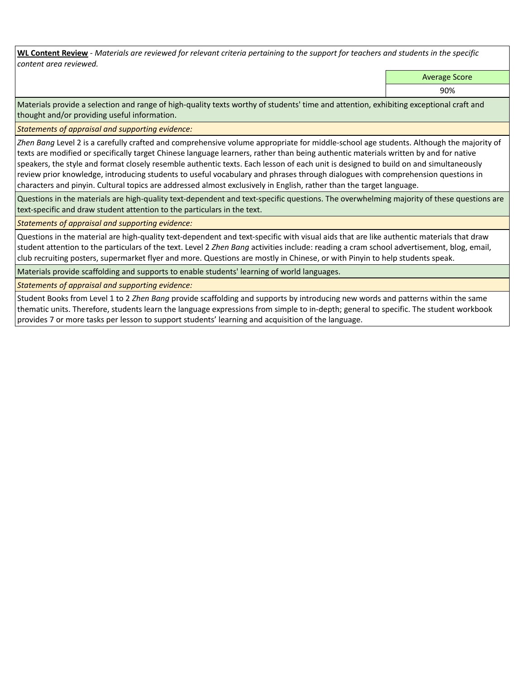**WL Content Review** *- Materials are reviewed for relevant criteria pertaining to the support for teachers and students in the specific content area reviewed.*

Average Score

90%

Materials provide a selection and range of high-quality texts worthy of students' time and attention, exhibiting exceptional craft and thought and/or providing useful information.

*Statements of appraisal and supporting evidence:* 

*Zhen Bang* Level 2 is a carefully crafted and comprehensive volume appropriate for middle-school age students. Although the majority of texts are modified or specifically target Chinese language learners, rather than being authentic materials written by and for native speakers, the style and format closely resemble authentic texts. Each lesson of each unit is designed to build on and simultaneously review prior knowledge, introducing students to useful vocabulary and phrases through dialogues with comprehension questions in characters and pinyin. Cultural topics are addressed almost exclusively in English, rather than the target language.

Questions in the materials are high-quality text-dependent and text-specific questions. The overwhelming majority of these questions are text-specific and draw student attention to the particulars in the text.

## *Statements of appraisal and supporting evidence:*

Questions in the material are high-quality text-dependent and text-specific with visual aids that are like authentic materials that draw student attention to the particulars of the text. Level 2 *Zhen Bang* activities include: reading a cram school advertisement, blog, email, club recruiting posters, supermarket flyer and more. Questions are mostly in Chinese, or with Pinyin to help students speak.

Materials provide scaffolding and supports to enable students' learning of world languages.

*Statements of appraisal and supporting evidence:* 

Student Books from Level 1 to 2 *Zhen Bang* provide scaffolding and supports by introducing new words and patterns within the same thematic units. Therefore, students learn the language expressions from simple to in-depth; general to specific. The student workbook provides 7 or more tasks per lesson to support students' learning and acquisition of the language.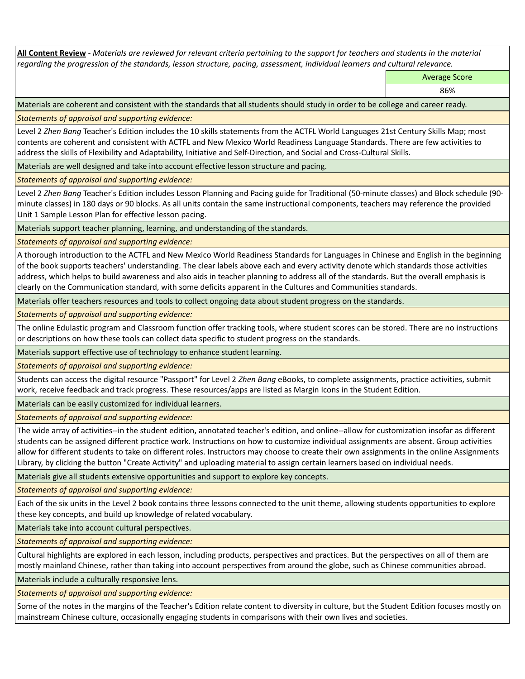**All Content Review** *- Materials are reviewed for relevant criteria pertaining to the support for teachers and students in the material regarding the progression of the standards, lesson structure, pacing, assessment, individual learners and cultural relevance.*

Average Score

86%

Materials are coherent and consistent with the standards that all students should study in order to be college and career ready.

*Statements of appraisal and supporting evidence:*

Level 2 *Zhen Bang* Teacher's Edition includes the 10 skills statements from the ACTFL World Languages 21st Century Skills Map; most contents are coherent and consistent with ACTFL and New Mexico World Readiness Language Standards. There are few activities to address the skills of Flexibility and Adaptability, Initiative and Self-Direction, and Social and Cross-Cultural Skills.

Materials are well designed and take into account effective lesson structure and pacing.

*Statements of appraisal and supporting evidence:*

Level 2 *Zhen Bang* Teacher's Edition includes Lesson Planning and Pacing guide for Traditional (50-minute classes) and Block schedule (90 minute classes) in 180 days or 90 blocks. As all units contain the same instructional components, teachers may reference the provided Unit 1 Sample Lesson Plan for effective lesson pacing.

Materials support teacher planning, learning, and understanding of the standards.

*Statements of appraisal and supporting evidence:*

A thorough introduction to the ACTFL and New Mexico World Readiness Standards for Languages in Chinese and English in the beginning of the book supports teachers' understanding. The clear labels above each and every activity denote which standards those activities address, which helps to build awareness and also aids in teacher planning to address all of the standards. But the overall emphasis is clearly on the Communication standard, with some deficits apparent in the Cultures and Communities standards.

Materials offer teachers resources and tools to collect ongoing data about student progress on the standards.

*Statements of appraisal and supporting evidence:*

The online Edulastic program and Classroom function offer tracking tools, where student scores can be stored. There are no instructions or descriptions on how these tools can collect data specific to student progress on the standards.

Materials support effective use of technology to enhance student learning.

*Statements of appraisal and supporting evidence:*

Students can access the digital resource "Passport" for Level 2 *Zhen Bang* eBooks, to complete assignments, practice activities, submit work, receive feedback and track progress. These resources/apps are listed as Margin Icons in the Student Edition.

Materials can be easily customized for individual learners.

*Statements of appraisal and supporting evidence:* 

The wide array of activities--in the student edition, annotated teacher's edition, and online--allow for customization insofar as different students can be assigned different practice work. Instructions on how to customize individual assignments are absent. Group activities allow for different students to take on different roles. Instructors may choose to create their own assignments in the online Assignments Library, by clicking the button "Create Activity" and uploading material to assign certain learners based on individual needs.

Materials give all students extensive opportunities and support to explore key concepts.

*Statements of appraisal and supporting evidence:*

Each of the six units in the Level 2 book contains three lessons connected to the unit theme, allowing students opportunities to explore these key concepts, and build up knowledge of related vocabulary.

Materials take into account cultural perspectives.

*Statements of appraisal and supporting evidence:*

Cultural highlights are explored in each lesson, including products, perspectives and practices. But the perspectives on all of them are mostly mainland Chinese, rather than taking into account perspectives from around the globe, such as Chinese communities abroad.

Materials include a culturally responsive lens.

*Statements of appraisal and supporting evidence:*

Some of the notes in the margins of the Teacher's Edition relate content to diversity in culture, but the Student Edition focuses mostly on mainstream Chinese culture, occasionally engaging students in comparisons with their own lives and societies.